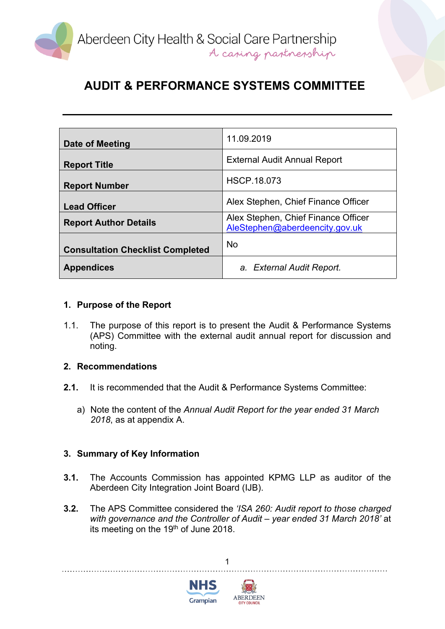

# **AUDIT & PERFORMANCE SYSTEMS COMMITTEE**

| Date of Meeting                         | 11.09.2019                                                            |
|-----------------------------------------|-----------------------------------------------------------------------|
| <b>Report Title</b>                     | <b>External Audit Annual Report</b>                                   |
| <b>Report Number</b>                    | <b>HSCP.18.073</b>                                                    |
| <b>Lead Officer</b>                     | Alex Stephen, Chief Finance Officer                                   |
| <b>Report Author Details</b>            | Alex Stephen, Chief Finance Officer<br>AleStephen@aberdeencity.gov.uk |
| <b>Consultation Checklist Completed</b> | <b>No</b>                                                             |
| <b>Appendices</b>                       | a. External Audit Report.                                             |

### **1. Purpose of the Report**

1.1. The purpose of this report is to present the Audit & Performance Systems (APS) Committee with the external audit annual report for discussion and noting.

### **2. Recommendations**

- **2.1.** It is recommended that the Audit & Performance Systems Committee:
	- a) Note the content of the *Annual Audit Report for the year ended 31 March 2018*, as at appendix A.

### **3. Summary of Key Information**

- **3.1.** The Accounts Commission has appointed KPMG LLP as auditor of the Aberdeen City Integration Joint Board (IJB).
- **3.2.** The APS Committee considered the *'ISA 260: Audit report to those charged with governance and the Controller of Audit – year ended 31 March 2018'* at its meeting on the 19th of June 2018.

1



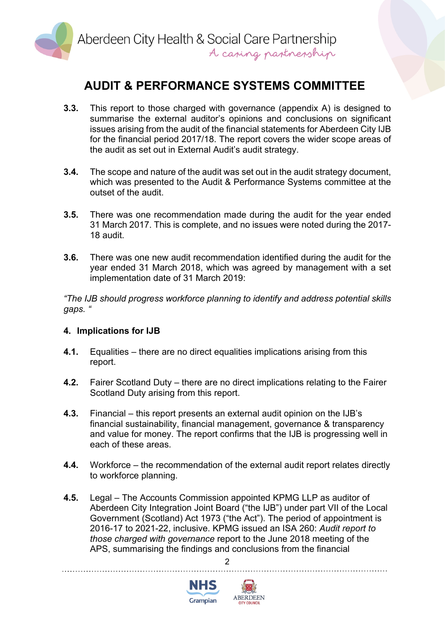

## **AUDIT & PERFORMANCE SYSTEMS COMMITTEE**

- **3.3.** This report to those charged with governance (appendix A) is designed to summarise the external auditor's opinions and conclusions on significant issues arising from the audit of the financial statements for Aberdeen City IJB for the financial period 2017/18. The report covers the wider scope areas of the audit as set out in External Audit's audit strategy.
- **3.4.** The scope and nature of the audit was set out in the audit strategy document, which was presented to the Audit & Performance Systems committee at the outset of the audit.
- **3.5.** There was one recommendation made during the audit for the year ended 31 March 2017. This is complete, and no issues were noted during the 2017- 18 audit.
- **3.6.** There was one new audit recommendation identified during the audit for the year ended 31 March 2018, which was agreed by management with a set implementation date of 31 March 2019:

*"The IJB should progress workforce planning to identify and address potential skills gaps. "*

### **4. Implications for IJB**

- **4.1.** Equalities there are no direct equalities implications arising from this report.
- **4.2.** Fairer Scotland Duty there are no direct implications relating to the Fairer Scotland Duty arising from this report.
- **4.3.** Financial this report presents an external audit opinion on the IJB's financial sustainability, financial management, governance & transparency and value for money. The report confirms that the IJB is progressing well in each of these areas.
- **4.4.** Workforce the recommendation of the external audit report relates directly to workforce planning.
- **4.5.** Legal The Accounts Commission appointed KPMG LLP as auditor of Aberdeen City Integration Joint Board ("the IJB") under part VII of the Local Government (Scotland) Act 1973 ("the Act"). The period of appointment is 2016-17 to 2021-22, inclusive. KPMG issued an ISA 260: *Audit report to those charged with governance* report to the June 2018 meeting of the APS, summarising the findings and conclusions from the financial

 $\mathfrak{p}$